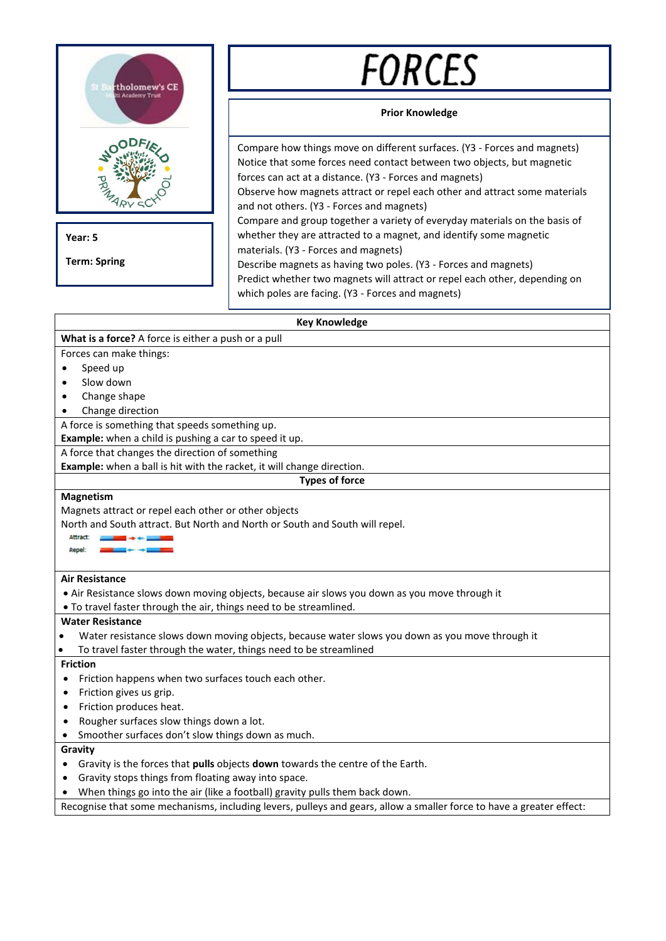

**Year: 5**

**Term: Spring**

# FORCES

# **Prior Knowledge**

Compare how things move on different surfaces. (Y3 - Forces and magnets) Notice that some forces need contact between two objects, but magnetic forces can act at a distance. (Y3 - Forces and magnets) Observe how magnets attract or repel each other and attract some materials and not others. (Y3 - Forces and magnets) Compare and group together a variety of everyday materials on the basis of whether they are attracted to a magnet, and identify some magnetic materials. (Y3 - Forces and magnets) Describe magnets as having two poles. (Y3 - Forces and magnets) Predict whether two magnets will attract or repel each other, depending on which poles are facing. (Y3 - Forces and magnets)

## **Key Knowledge**

## **What is a force?** A force is either a push or a pull

Forces can make things:

- Speed up
- Slow down
- Change shape
- Change direction

A force is something that speeds something up.

**Example:** when a child is pushing a car to speed it up.

A force that changes the direction of something

**Example:** when a ball is hit with the racket, it will change direction.

## **Types of force**

#### **Magnetism**

Magnets attract or repel each other or other objects

North and South attract. But North and North or South and South will repel.



#### **Air Resistance**

• Air Resistance slows down moving objects, because air slows you down as you move through it

• To travel faster through the air, things need to be streamlined.

#### **Water Resistance**

- Water resistance slows down moving objects, because water slows you down as you move through it
- To travel faster through the water, things need to be streamlined

## **Friction**

- Friction happens when two surfaces touch each other.
- Friction gives us grip.
- Friction produces heat.
- Rougher surfaces slow things down a lot.
- Smoother surfaces don't slow things down as much.

## **Gravity**

- Gravity is the forces that **pulls** objects **down** towards the centre of the Earth.
- Gravity stops things from floating away into space.
- When things go into the air (like a football) gravity pulls them back down.

Recognise that some mechanisms, including levers, pulleys and gears, allow a smaller force to have a greater effect: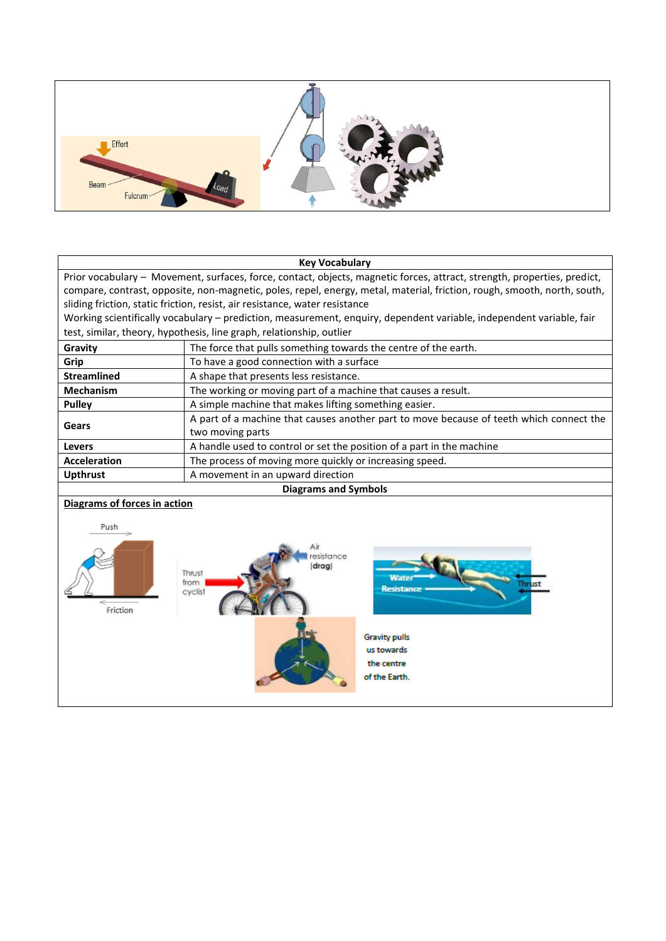

#### **Key Vocabulary**

Prior vocabulary – Movement, surfaces, force, contact, objects, magnetic forces, attract, strength, properties, predict, compare, contrast, opposite, non-magnetic, poles, repel, energy, metal, material, friction, rough, smooth, north, south, sliding friction, static friction, resist, air resistance, water resistance

Working scientifically vocabulary – prediction, measurement, enquiry, dependent variable, independent variable, fair test, similar, theory, hypothesis, line graph, relationship, outlier

| Gravity                     | The force that pulls something towards the centre of the earth.                         |
|-----------------------------|-----------------------------------------------------------------------------------------|
| Grip                        | To have a good connection with a surface                                                |
| <b>Streamlined</b>          | A shape that presents less resistance.                                                  |
| <b>Mechanism</b>            | The working or moving part of a machine that causes a result.                           |
| <b>Pulley</b>               | A simple machine that makes lifting something easier.                                   |
| Gears                       | A part of a machine that causes another part to move because of teeth which connect the |
|                             | two moving parts                                                                        |
| <b>Levers</b>               | A handle used to control or set the position of a part in the machine                   |
| <b>Acceleration</b>         | The process of moving more quickly or increasing speed.                                 |
| <b>Upthrust</b>             | A movement in an upward direction                                                       |
| <b>Diagrams and Symbols</b> |                                                                                         |

# **Diagrams of forces in action**

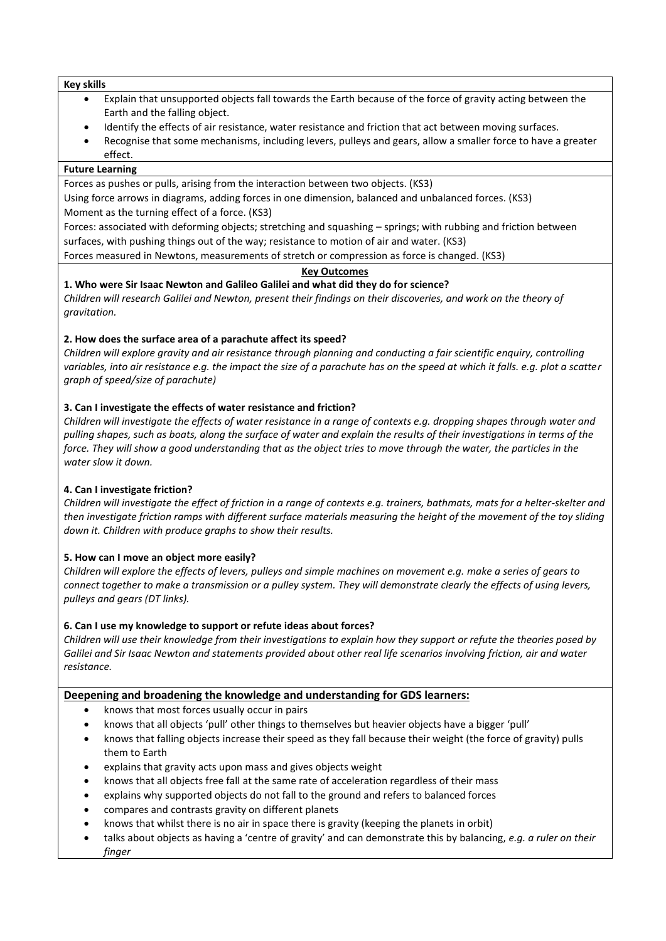#### **Key skills**

- Explain that unsupported objects fall towards the Earth because of the force of gravity acting between the Earth and the falling object.
- Identify the effects of air resistance, water resistance and friction that act between moving surfaces.
- Recognise that some mechanisms, including levers, pulleys and gears, allow a smaller force to have a greater effect.

# **Future Learning**

Forces as pushes or pulls, arising from the interaction between two objects. (KS3) Using force arrows in diagrams, adding forces in one dimension, balanced and unbalanced forces. (KS3) Moment as the turning effect of a force. (KS3)

Forces: associated with deforming objects; stretching and squashing – springs; with rubbing and friction between surfaces, with pushing things out of the way; resistance to motion of air and water. (KS3)

Forces measured in Newtons, measurements of stretch or compression as force is changed. (KS3)

## **Key Outcomes**

**1. Who were Sir Isaac Newton and Galileo Galilei and what did they do for science?** *Children will research Galilei and Newton, present their findings on their discoveries, and work on the theory of gravitation.* 

# **2. How does the surface area of a parachute affect its speed?**

*Children will explore gravity and air resistance through planning and conducting a fair scientific enquiry, controlling variables, into air resistance e.g. the impact the size of a parachute has on the speed at which it falls. e.g. plot a scatter graph of speed/size of parachute)*

# **3. Can I investigate the effects of water resistance and friction?**

*Children will investigate the effects of water resistance in a range of contexts e.g. dropping shapes through water and pulling shapes, such as boats, along the surface of water and explain the results of their investigations in terms of the force. They will show a good understanding that as the object tries to move through the water, the particles in the water slow it down.*

# **4. Can I investigate friction?**

*Children will investigate the effect of friction in a range of contexts e.g. trainers, bathmats, mats for a helter-skelter and then investigate friction ramps with different surface materials measuring the height of the movement of the toy sliding down it. Children with produce graphs to show their results.*

## **5. How can I move an object more easily?**

*Children will explore the effects of levers, pulleys and simple machines on movement e.g. make a series of gears to connect together to make a transmission or a pulley system. They will demonstrate clearly the effects of using levers, pulleys and gears (DT links).*

# **6. Can I use my knowledge to support or refute ideas about forces?**

*Children will use their knowledge from their investigations to explain how they support or refute the theories posed by Galilei and Sir Isaac Newton and statements provided about other real life scenarios involving friction, air and water resistance.*

# **Deepening and broadening the knowledge and understanding for GDS learners:**

- knows that most forces usually occur in pairs
- knows that all objects 'pull' other things to themselves but heavier objects have a bigger 'pull'
- knows that falling objects increase their speed as they fall because their weight (the force of gravity) pulls them to Earth
- explains that gravity acts upon mass and gives objects weight
- knows that all objects free fall at the same rate of acceleration regardless of their mass
- explains why supported objects do not fall to the ground and refers to balanced forces
- compares and contrasts gravity on different planets
- knows that whilst there is no air in space there is gravity (keeping the planets in orbit)
- talks about objects as having a 'centre of gravity' and can demonstrate this by balancing, *e.g. a ruler on their finger*